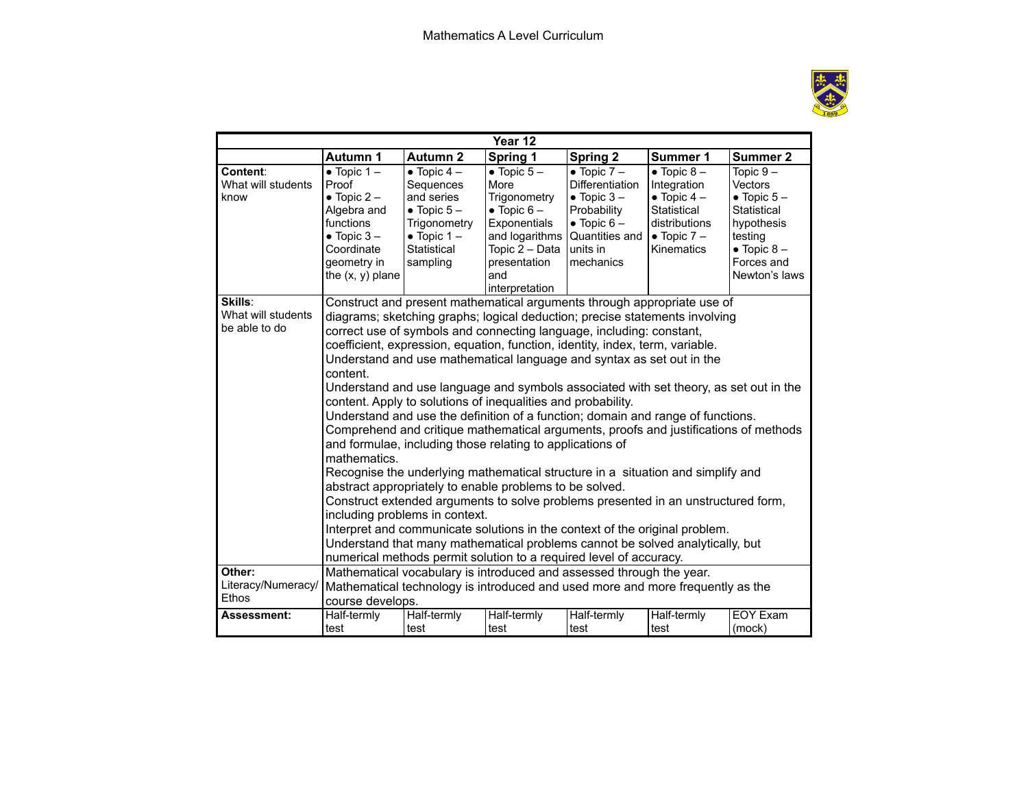

| Year 12                                        |                                                                                                                                                                                                                                                                                                                                                                                                                                                                                                                                                                                                                                                                                                                                                                                                                                                                                                                                                                                                                                                                                                                                                                                                                                                                                                                                  |                                                                                                                                         |                                                                                                                                                          |                                                                                                                                                          |                                                                                                                                       |                                                                                                                                                     |  |  |  |  |
|------------------------------------------------|----------------------------------------------------------------------------------------------------------------------------------------------------------------------------------------------------------------------------------------------------------------------------------------------------------------------------------------------------------------------------------------------------------------------------------------------------------------------------------------------------------------------------------------------------------------------------------------------------------------------------------------------------------------------------------------------------------------------------------------------------------------------------------------------------------------------------------------------------------------------------------------------------------------------------------------------------------------------------------------------------------------------------------------------------------------------------------------------------------------------------------------------------------------------------------------------------------------------------------------------------------------------------------------------------------------------------------|-----------------------------------------------------------------------------------------------------------------------------------------|----------------------------------------------------------------------------------------------------------------------------------------------------------|----------------------------------------------------------------------------------------------------------------------------------------------------------|---------------------------------------------------------------------------------------------------------------------------------------|-----------------------------------------------------------------------------------------------------------------------------------------------------|--|--|--|--|
|                                                | <b>Autumn 1</b>                                                                                                                                                                                                                                                                                                                                                                                                                                                                                                                                                                                                                                                                                                                                                                                                                                                                                                                                                                                                                                                                                                                                                                                                                                                                                                                  | <b>Autumn 2</b>                                                                                                                         | Spring 1                                                                                                                                                 | <b>Spring 2</b>                                                                                                                                          | Summer 1                                                                                                                              | Summer 2                                                                                                                                            |  |  |  |  |
| Content:<br>What will students<br>know         | $\bullet$ Topic 1 -<br>Proof<br>$\bullet$ Topic 2 –<br>Algebra and<br>functions<br>$\bullet$ Topic 3 -<br>Coordinate<br>geometry in<br>the $(x, y)$ plane                                                                                                                                                                                                                                                                                                                                                                                                                                                                                                                                                                                                                                                                                                                                                                                                                                                                                                                                                                                                                                                                                                                                                                        | $\bullet$ Topic 4 -<br>Sequences<br>and series<br>$\bullet$ Topic 5 -<br>Trigonometry<br>$\bullet$ Topic 1 –<br>Statistical<br>sampling | $\bullet$ Topic 5 -<br>More<br>Trigonometry<br>$\bullet$ Topic 6 -<br>Exponentials<br>Topic $2 - Data$ units in<br>presentation<br>and<br>interpretation | $\bullet$ Topic 7 -<br><b>Differentiation</b><br>$\bullet$ Topic 3 -<br>Probability<br>$\bullet$ Topic 6 -<br>and logarithms Quantities and<br>mechanics | $\bullet$ Topic 8 -<br>Integration<br>$\bullet$ Topic 4 -<br>Statistical<br>distributions<br>$\bullet$ Topic 7 –<br><b>Kinematics</b> | Topic $9-$<br><b>Vectors</b><br>$\bullet$ Topic 5 $-$<br>Statistical<br>hypothesis<br>testing<br>$\bullet$ Topic 8 -<br>Forces and<br>Newton's laws |  |  |  |  |
| Skills:<br>What will students<br>be able to do | Construct and present mathematical arguments through appropriate use of<br>diagrams; sketching graphs; logical deduction; precise statements involving<br>correct use of symbols and connecting language, including: constant,<br>coefficient, expression, equation, function, identity, index, term, variable.<br>Understand and use mathematical language and syntax as set out in the<br>content.<br>Understand and use language and symbols associated with set theory, as set out in the<br>content. Apply to solutions of inequalities and probability.<br>Understand and use the definition of a function; domain and range of functions.<br>Comprehend and critique mathematical arguments, proofs and justifications of methods<br>and formulae, including those relating to applications of<br>mathematics.<br>Recognise the underlying mathematical structure in a situation and simplify and<br>abstract appropriately to enable problems to be solved.<br>Construct extended arguments to solve problems presented in an unstructured form,<br>including problems in context.<br>Interpret and communicate solutions in the context of the original problem.<br>Understand that many mathematical problems cannot be solved analytically, but<br>numerical methods permit solution to a required level of accuracy. |                                                                                                                                         |                                                                                                                                                          |                                                                                                                                                          |                                                                                                                                       |                                                                                                                                                     |  |  |  |  |
| Other:<br>Literacy/Numeracy/<br>Ethos          | Mathematical vocabulary is introduced and assessed through the year.<br>Mathematical technology is introduced and used more and more frequently as the<br>course develops.                                                                                                                                                                                                                                                                                                                                                                                                                                                                                                                                                                                                                                                                                                                                                                                                                                                                                                                                                                                                                                                                                                                                                       |                                                                                                                                         |                                                                                                                                                          |                                                                                                                                                          |                                                                                                                                       |                                                                                                                                                     |  |  |  |  |
| Assessment:                                    | Half-termly<br>test                                                                                                                                                                                                                                                                                                                                                                                                                                                                                                                                                                                                                                                                                                                                                                                                                                                                                                                                                                                                                                                                                                                                                                                                                                                                                                              | Half-termly<br>test                                                                                                                     | Half-termly<br>test                                                                                                                                      | Half-termly<br>test                                                                                                                                      | Half-termly<br>test                                                                                                                   | <b>EOY Exam</b><br>(mock)                                                                                                                           |  |  |  |  |